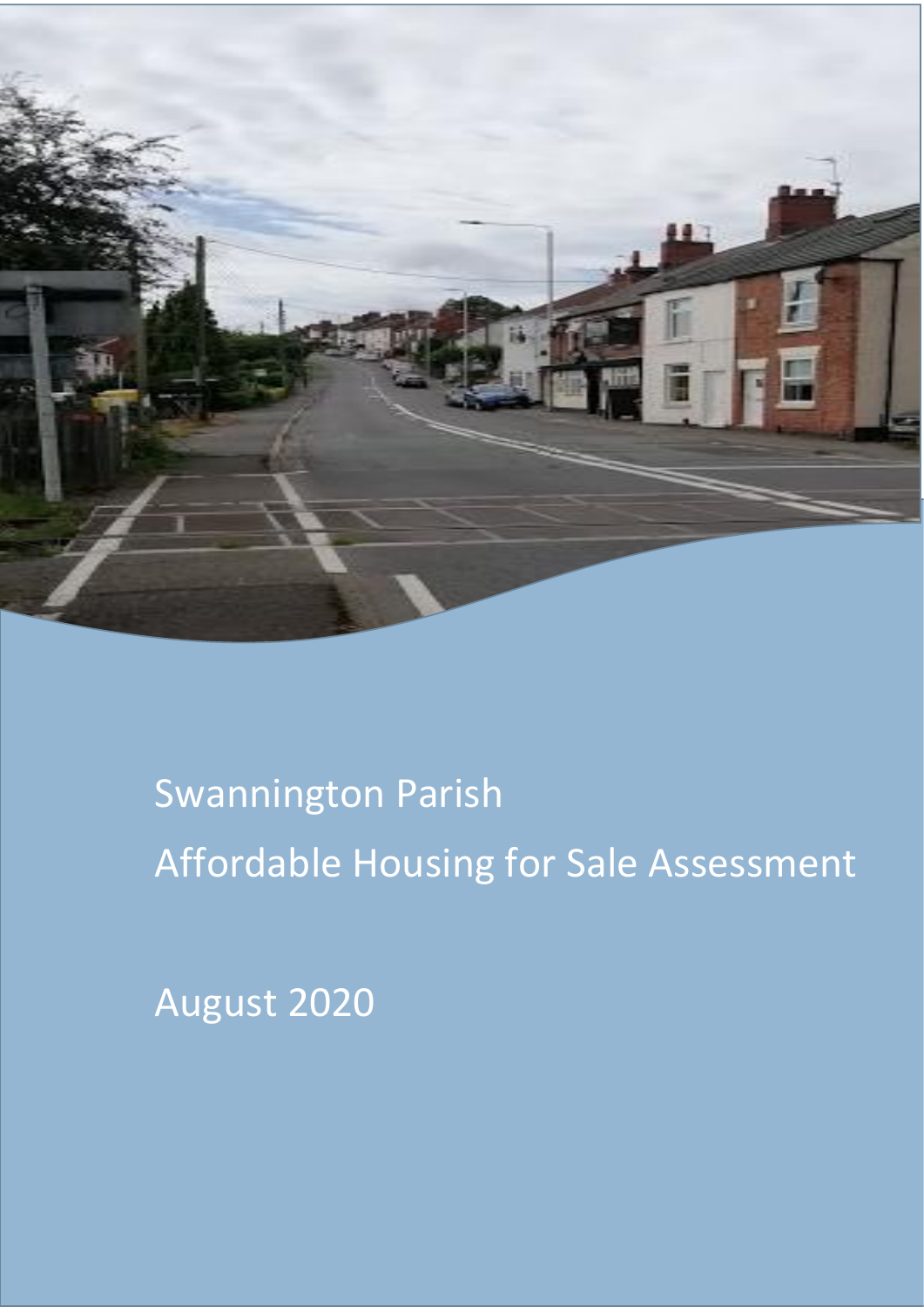

# Swannington Parish Swannington Parish Affordable Housing for sale assessment Affordable Housing for Sale Assessment

August 2020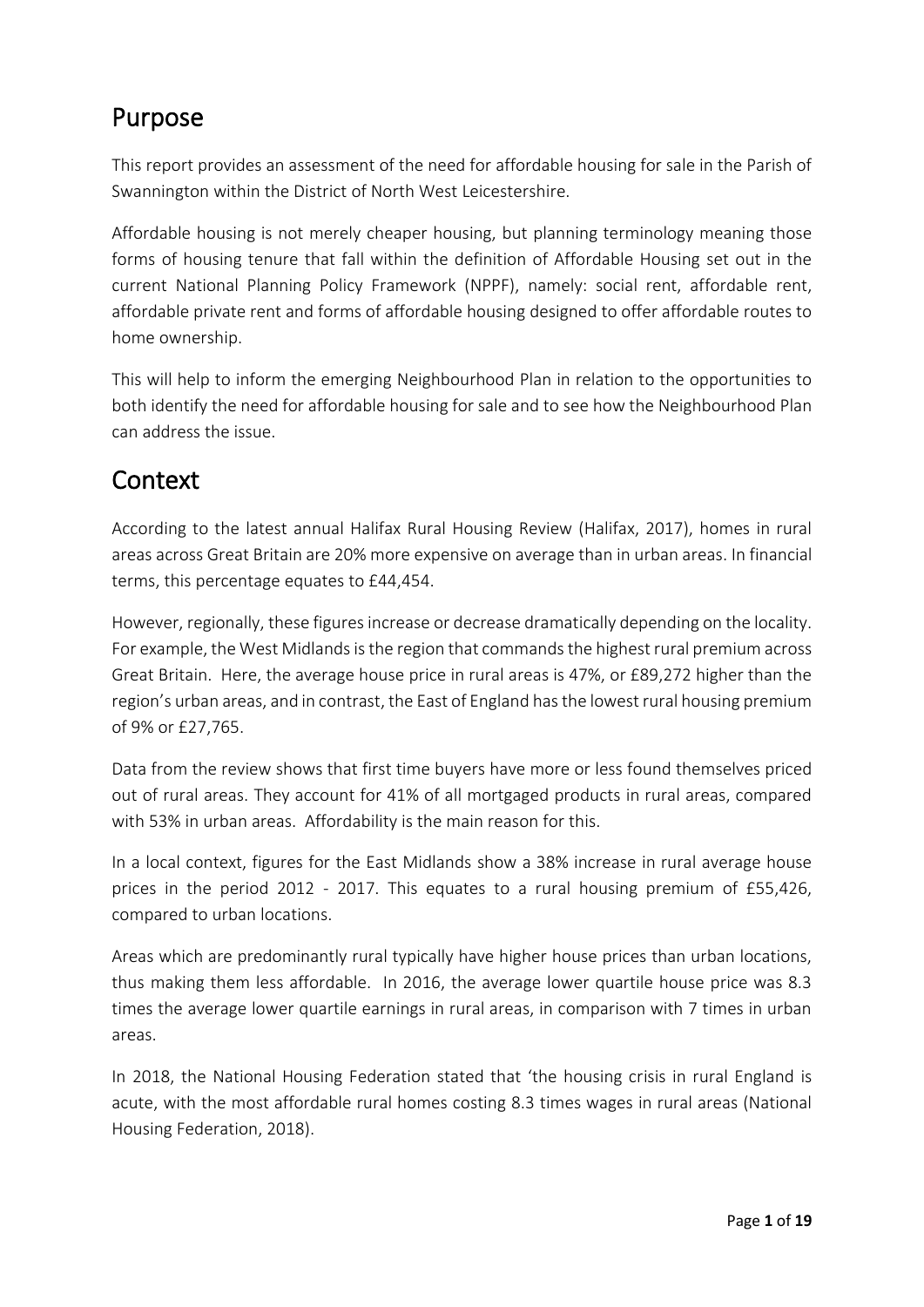# Purpose

This report provides an assessment of the need for affordable housing for sale in the Parish of Swannington within the District of North West Leicestershire.

Affordable housing is not merely cheaper housing, but planning terminology meaning those forms of housing tenure that fall within the definition of Affordable Housing set out in the current National Planning Policy Framework (NPPF), namely: social rent, affordable rent, affordable private rent and forms of affordable housing designed to offer affordable routes to home ownership.

This will help to inform the emerging Neighbourhood Plan in relation to the opportunities to both identify the need for affordable housing for sale and to see how the Neighbourhood Plan can address the issue.

### Context

According to the latest annual Halifax Rural Housing Review (Halifax, 2017), homes in rural areas across Great Britain are 20% more expensive on average than in urban areas. In financial terms, this percentage equates to £44,454.

However, regionally, these figures increase or decrease dramatically depending on the locality. For example, the West Midlands is the region that commands the highest rural premium across Great Britain. Here, the average house price in rural areas is 47%, or £89,272 higher than the region's urban areas, and in contrast, the East of England has the lowest rural housing premium of 9% or £27,765.

Data from the review shows that first time buyers have more or less found themselves priced out of rural areas. They account for 41% of all mortgaged products in rural areas, compared with 53% in urban areas. Affordability is the main reason for this.

In a local context, figures for the East Midlands show a 38% increase in rural average house prices in the period 2012 - 2017. This equates to a rural housing premium of £55,426, compared to urban locations.

Areas which are predominantly rural typically have higher house prices than urban locations, thus making them less affordable. In 2016, the average lower quartile house price was 8.3 times the average lower quartile earnings in rural areas, in comparison with 7 times in urban areas.

In 2018, the National Housing Federation stated that 'the housing crisis in rural England is acute, with the most affordable rural homes costing 8.3 times wages in rural areas (National Housing Federation, 2018).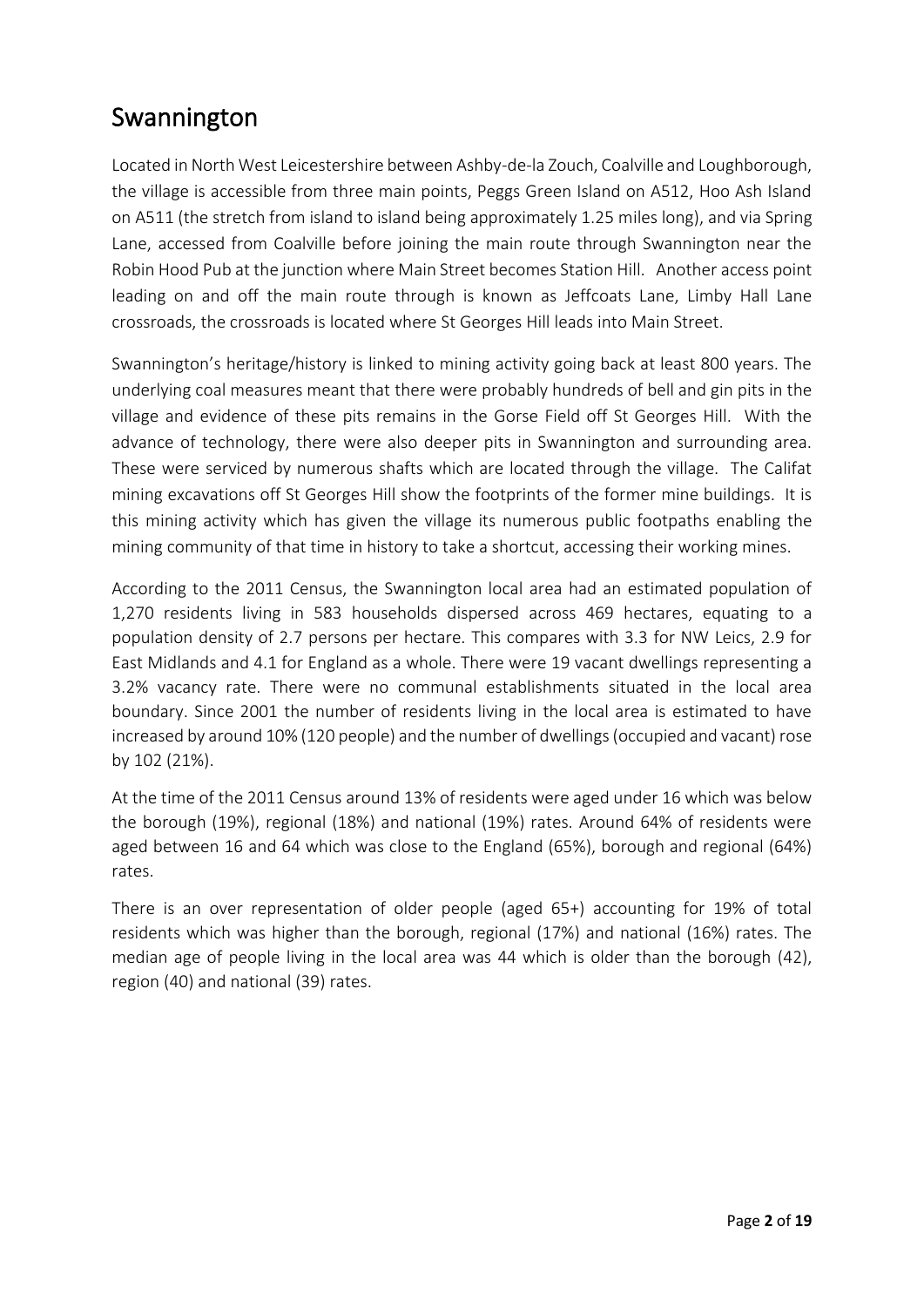# Swannington

Located in North West Leicestershire between Ashby-de-la Zouch, Coalville and Loughborough, the village is accessible from three main points, Peggs Green Island on A512, Hoo Ash Island on A511 (the stretch from island to island being approximately 1.25 miles long), and via Spring Lane, accessed from Coalville before joining the main route through Swannington near the Robin Hood Pub at the junction where Main Street becomes Station Hill. Another access point leading on and off the main route through is known as Jeffcoats Lane, Limby Hall Lane crossroads, the crossroads is located where St Georges Hill leads into Main Street.

Swannington's heritage/history is linked to mining activity going back at least 800 years. The underlying coal measures meant that there were probably hundreds of bell and gin pits in the village and evidence of these pits remains in the Gorse Field off St Georges Hill. With the advance of technology, there were also deeper pits in Swannington and surrounding area. These were serviced by numerous shafts which are located through the village. The Califat mining excavations off St Georges Hill show the footprints of the former mine buildings. It is this mining activity which has given the village its numerous public footpaths enabling the mining community of that time in history to take a shortcut, accessing their working mines.

According to the 2011 Census, the Swannington local area had an estimated population of 1,270 residents living in 583 households dispersed across 469 hectares, equating to a population density of 2.7 persons per hectare. This compares with 3.3 for NW Leics, 2.9 for East Midlands and 4.1 for England as a whole. There were 19 vacant dwellings representing a 3.2% vacancy rate. There were no communal establishments situated in the local area boundary. Since 2001 the number of residents living in the local area is estimated to have increased by around 10% (120 people) and the number of dwellings (occupied and vacant) rose by 102 (21%).

At the time of the 2011 Census around 13% of residents were aged under 16 which was below the borough (19%), regional (18%) and national (19%) rates. Around 64% of residents were aged between 16 and 64 which was close to the England (65%), borough and regional (64%) rates.

There is an over representation of older people (aged 65+) accounting for 19% of total residents which was higher than the borough, regional (17%) and national (16%) rates. The median age of people living in the local area was 44 which is older than the borough (42), region (40) and national (39) rates.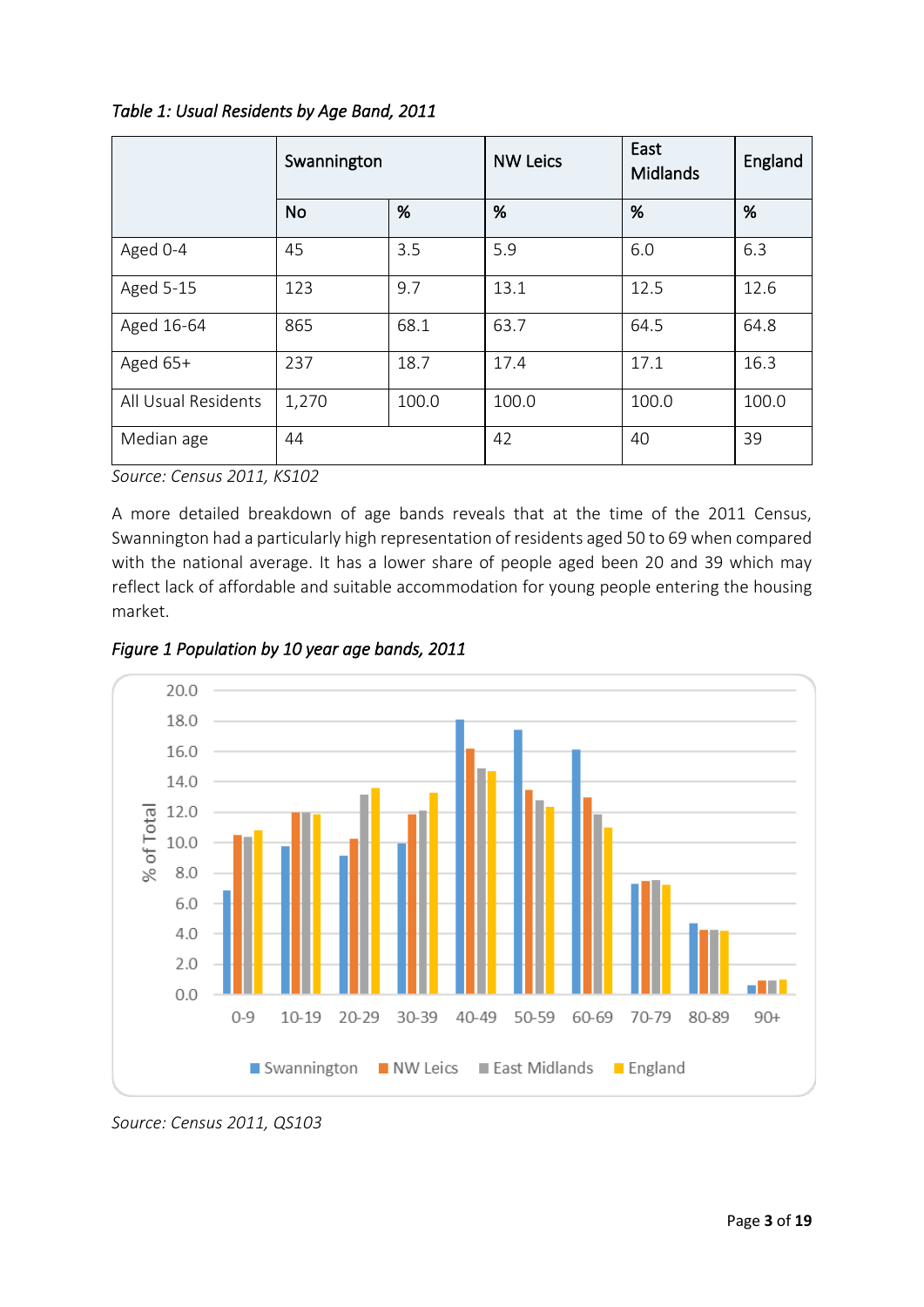|                     | Swannington |       | <b>NW Leics</b> | East<br>Midlands | England |
|---------------------|-------------|-------|-----------------|------------------|---------|
|                     | <b>No</b>   | %     | %               | %                | %       |
| Aged 0-4            | 45          | 3.5   | 5.9             | 6.0              | 6.3     |
| Aged 5-15           | 123         | 9.7   | 13.1            | 12.5             | 12.6    |
| Aged 16-64          | 865         | 68.1  | 63.7            | 64.5             | 64.8    |
| Aged $65+$          | 237         | 18.7  | 17.4            | 17.1             | 16.3    |
| All Usual Residents | 1,270       | 100.0 | 100.0           | 100.0            | 100.0   |
| Median age          | 44          |       | 42              | 40               | 39      |

*Source: Census 2011, KS102*

A more detailed breakdown of age bands reveals that at the time of the 2011 Census, Swannington had a particularly high representation of residents aged 50 to 69 when compared with the national average. It has a lower share of people aged been 20 and 39 which may reflect lack of affordable and suitable accommodation for young people entering the housing market.





*Source: Census 2011, QS103*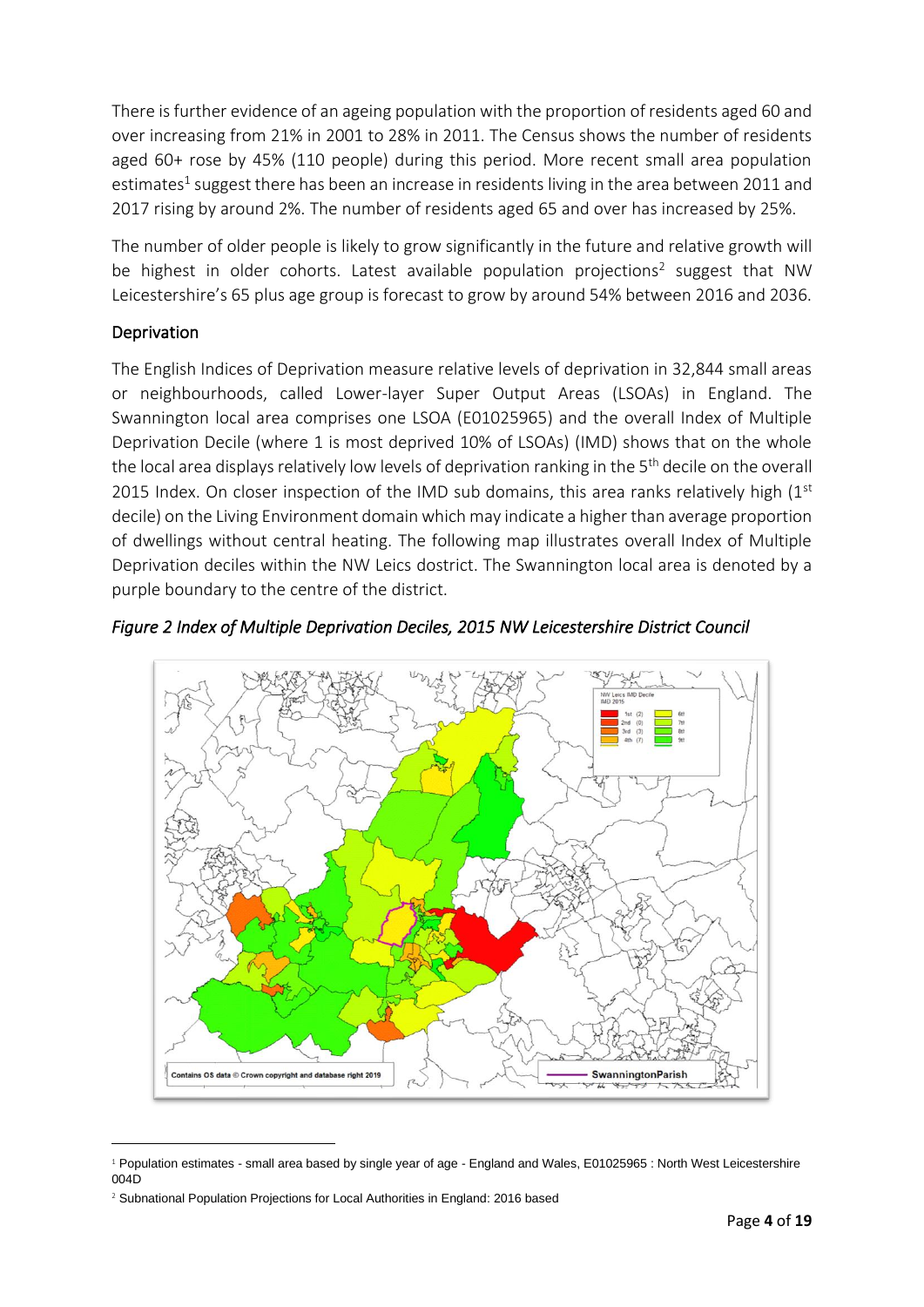There is further evidence of an ageing population with the proportion of residents aged 60 and over increasing from 21% in 2001 to 28% in 2011. The Census shows the number of residents aged 60+ rose by 45% (110 people) during this period. More recent small area population estimates<sup>1</sup> suggest there has been an increase in residents living in the area between 2011 and 2017 rising by around 2%. The number of residents aged 65 and over has increased by 25%.

The number of older people is likely to grow significantly in the future and relative growth will be highest in older cohorts. Latest available population projections<sup>2</sup> suggest that NW Leicestershire's 65 plus age group is forecast to grow by around 54% between 2016 and 2036.

#### Deprivation

The English Indices of Deprivation measure relative levels of deprivation in 32,844 small areas or neighbourhoods, called Lower-layer Super Output Areas (LSOAs) in England. The Swannington local area comprises one LSOA (E01025965) and the overall Index of Multiple Deprivation Decile (where 1 is most deprived 10% of LSOAs) (IMD) shows that on the whole the local area displays relatively low levels of deprivation ranking in the 5<sup>th</sup> decile on the overall 2015 Index. On closer inspection of the IMD sub domains, this area ranks relatively high  $(1^{st}$ decile) on the Living Environment domain which may indicate a higher than average proportion of dwellings without central heating. The following map illustrates overall Index of Multiple Deprivation deciles within the NW Leics dostrict. The Swannington local area is denoted by a purple boundary to the centre of the district.



*Figure 2 Index of Multiple Deprivation Deciles, 2015 NW Leicestershire District Council* 

 $1$  Population estimates - small area based by single year of age - England and Wales, E01025965 : North West Leicestershire 004D

<sup>&</sup>lt;sup>2</sup> Subnational Population Projections for Local Authorities in England: 2016 based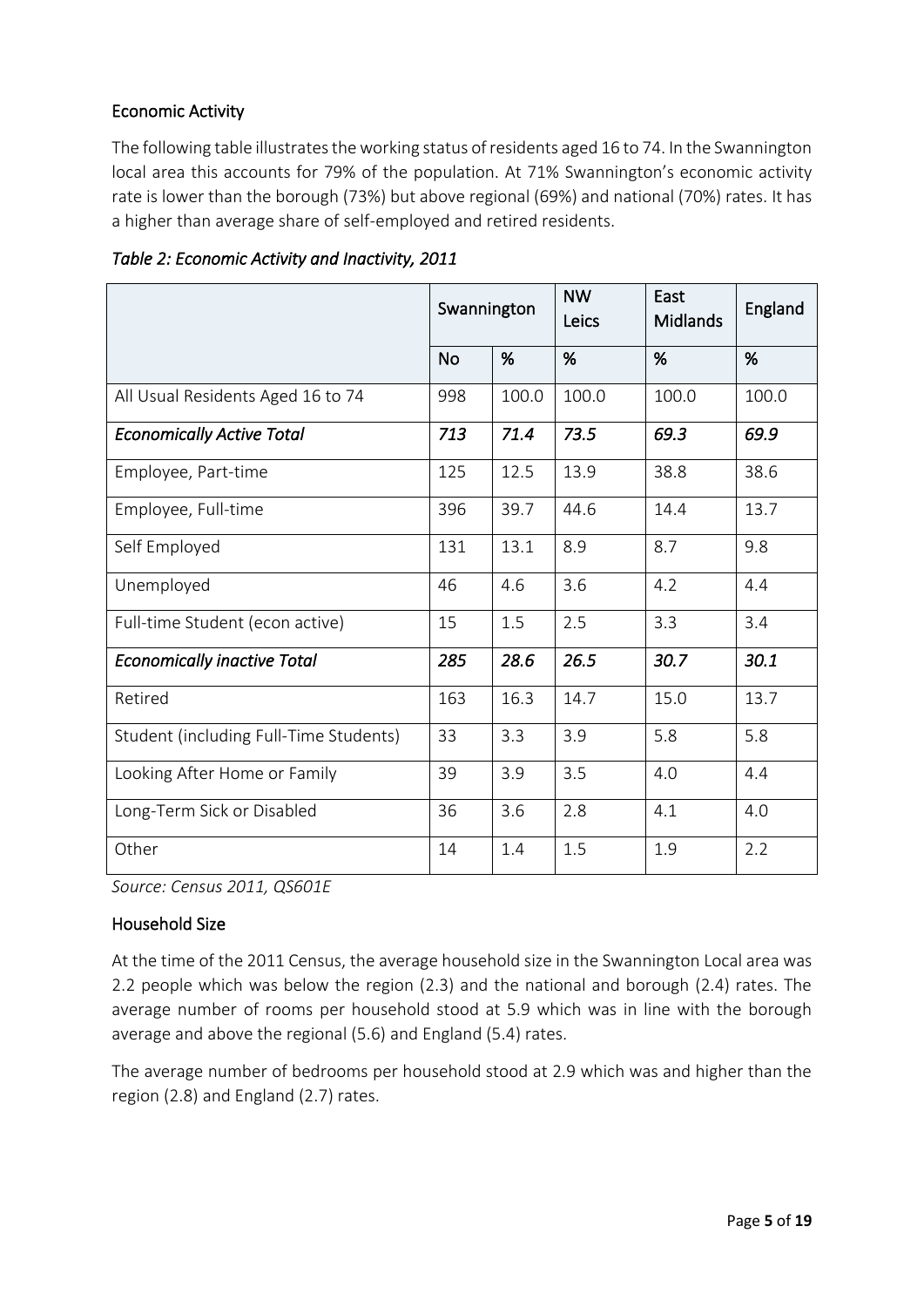#### Economic Activity

The following table illustrates the working status of residents aged 16 to 74. In the Swannington local area this accounts for 79% of the population. At 71% Swannington's economic activity rate is lower than the borough (73%) but above regional (69%) and national (70%) rates. It has a higher than average share of self-employed and retired residents.

|                                        | Swannington |       | <b>NW</b><br>Leics | East<br><b>Midlands</b> | England |
|----------------------------------------|-------------|-------|--------------------|-------------------------|---------|
|                                        | <b>No</b>   | %     | %                  | %                       | %       |
| All Usual Residents Aged 16 to 74      | 998         | 100.0 | 100.0              | 100.0                   | 100.0   |
| <b>Economically Active Total</b>       | 713         | 71.4  | 73.5               | 69.3                    | 69.9    |
| Employee, Part-time                    | 125         | 12.5  | 13.9               | 38.8                    | 38.6    |
| Employee, Full-time                    | 396         | 39.7  | 44.6               | 14.4                    | 13.7    |
| Self Employed                          | 131         | 13.1  | 8.9                | 8.7                     | 9.8     |
| Unemployed                             | 46          | 4.6   | 3.6                | 4.2                     | 4.4     |
| Full-time Student (econ active)        | 15          | 1.5   | 2.5                | 3.3                     | 3.4     |
| <b>Economically inactive Total</b>     | 285         | 28.6  | 26.5               | 30.7                    | 30.1    |
| Retired                                | 163         | 16.3  | 14.7               | 15.0                    | 13.7    |
| Student (including Full-Time Students) | 33          | 3.3   | 3.9                | 5.8                     | 5.8     |
| Looking After Home or Family           | 39          | 3.9   | 3.5                | 4.0                     | 4.4     |
| Long-Term Sick or Disabled             | 36          | 3.6   | 2.8                | 4.1                     | 4.0     |
| Other                                  | 14          | 1.4   | 1.5                | 1.9                     | 2.2     |

*Table 2: Economic Activity and Inactivity, 2011* 

*Source: Census 2011, QS601E*

#### Household Size

At the time of the 2011 Census, the average household size in the Swannington Local area was 2.2 people which was below the region (2.3) and the national and borough (2.4) rates. The average number of rooms per household stood at 5.9 which was in line with the borough average and above the regional (5.6) and England (5.4) rates.

The average number of bedrooms per household stood at 2.9 which was and higher than the region (2.8) and England (2.7) rates.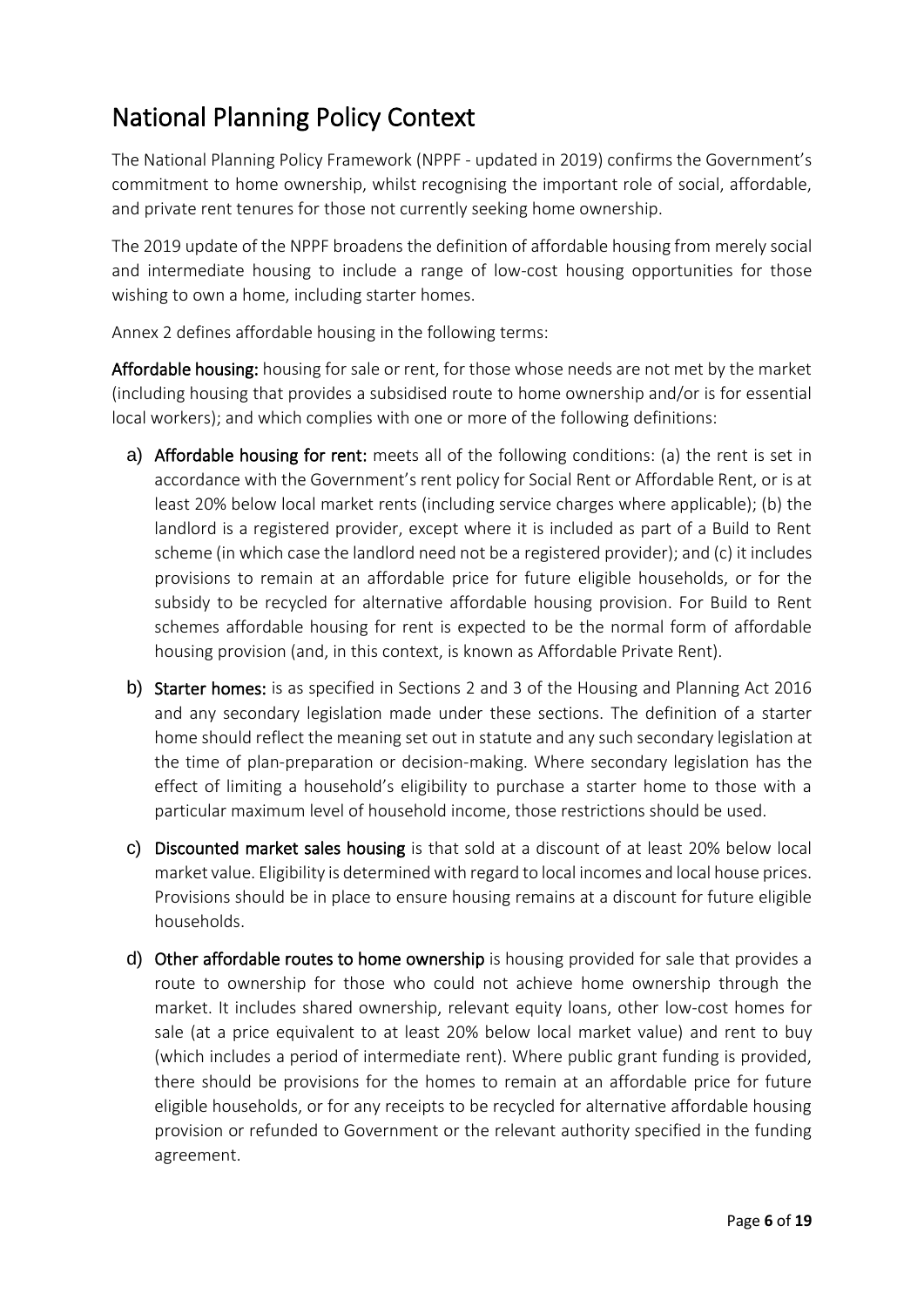# National Planning Policy Context

The National Planning Policy Framework (NPPF - updated in 2019) confirms the Government's commitment to home ownership, whilst recognising the important role of social, affordable, and private rent tenures for those not currently seeking home ownership.

The 2019 update of the NPPF broadens the definition of affordable housing from merely social and intermediate housing to include a range of low-cost housing opportunities for those wishing to own a home, including starter homes.

Annex 2 defines affordable housing in the following terms:

Affordable housing: housing for sale or rent, for those whose needs are not met by the market (including housing that provides a subsidised route to home ownership and/or is for essential local workers); and which complies with one or more of the following definitions:

- a) Affordable housing for rent: meets all of the following conditions: (a) the rent is set in accordance with the Government's rent policy for Social Rent or Affordable Rent, or is at least 20% below local market rents (including service charges where applicable); (b) the landlord is a registered provider, except where it is included as part of a Build to Rent scheme (in which case the landlord need not be a registered provider); and (c) it includes provisions to remain at an affordable price for future eligible households, or for the subsidy to be recycled for alternative affordable housing provision. For Build to Rent schemes affordable housing for rent is expected to be the normal form of affordable housing provision (and, in this context, is known as Affordable Private Rent).
- b) Starter homes: is as specified in Sections 2 and 3 of the Housing and Planning Act 2016 and any secondary legislation made under these sections. The definition of a starter home should reflect the meaning set out in statute and any such secondary legislation at the time of plan-preparation or decision-making. Where secondary legislation has the effect of limiting a household's eligibility to purchase a starter home to those with a particular maximum level of household income, those restrictions should be used.
- c) Discounted market sales housing is that sold at a discount of at least 20% below local market value. Eligibility is determined with regard to local incomes and local house prices. Provisions should be in place to ensure housing remains at a discount for future eligible households.
- d) Other affordable routes to home ownership is housing provided for sale that provides a route to ownership for those who could not achieve home ownership through the market. It includes shared ownership, relevant equity loans, other low-cost homes for sale (at a price equivalent to at least 20% below local market value) and rent to buy (which includes a period of intermediate rent). Where public grant funding is provided, there should be provisions for the homes to remain at an affordable price for future eligible households, or for any receipts to be recycled for alternative affordable housing provision or refunded to Government or the relevant authority specified in the funding agreement.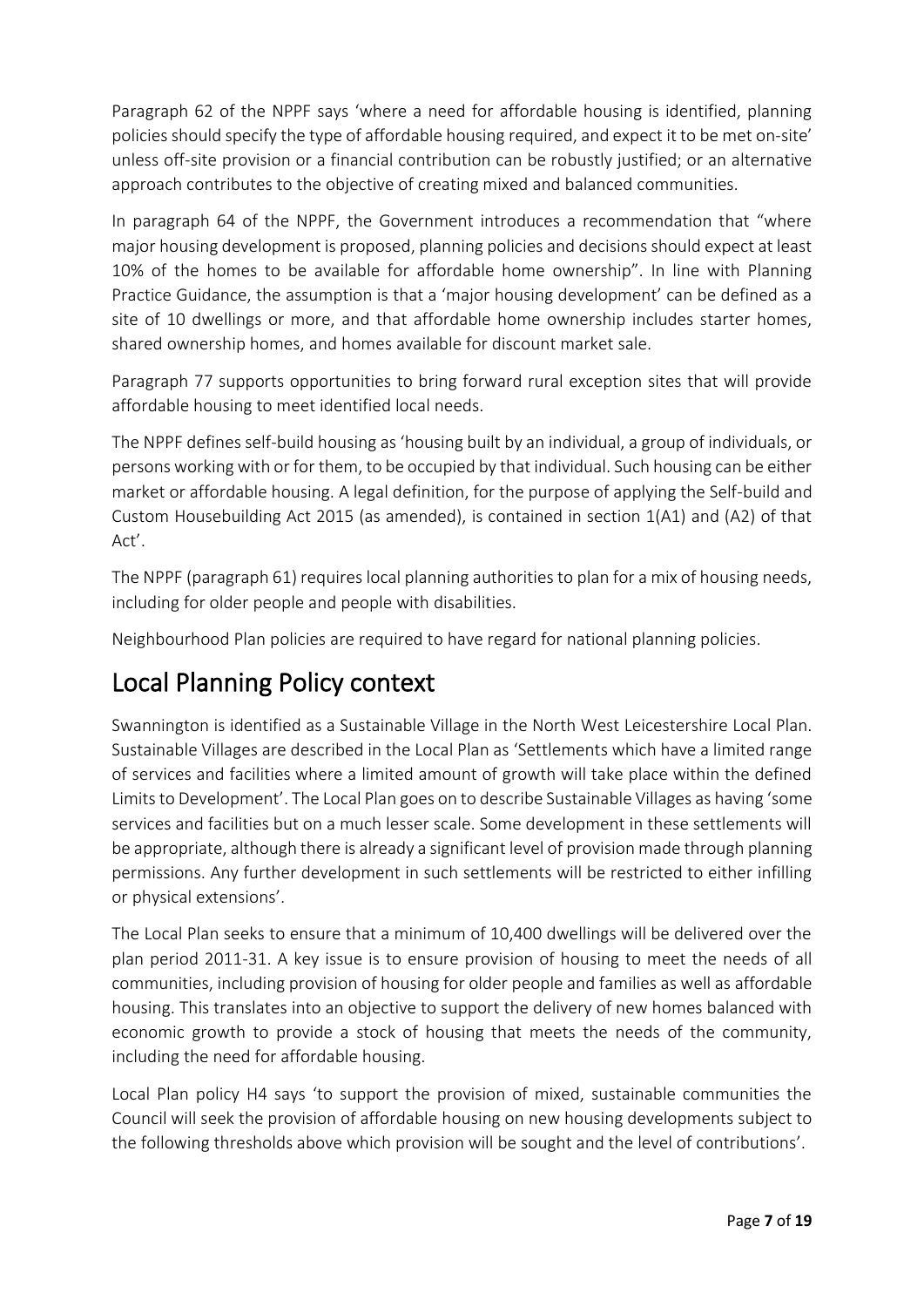Paragraph 62 of the NPPF says 'where a need for affordable housing is identified, planning policies should specify the type of affordable housing required, and expect it to be met on-site' unless off-site provision or a financial contribution can be robustly justified; or an alternative approach contributes to the objective of creating mixed and balanced communities.

In paragraph 64 of the NPPF, the Government introduces a recommendation that "where major housing development is proposed, planning policies and decisions should expect at least 10% of the homes to be available for affordable home ownership". In line with Planning Practice Guidance, the assumption is that a 'major housing development' can be defined as a site of 10 dwellings or more, and that affordable home ownership includes starter homes, shared ownership homes, and homes available for discount market sale.

Paragraph 77 supports opportunities to bring forward rural exception sites that will provide affordable housing to meet identified local needs.

The NPPF defines self-build housing as 'housing built by an individual, a group of individuals, or persons working with or for them, to be occupied by that individual. Such housing can be either market or affordable housing. A legal definition, for the purpose of applying the Self-build and Custom Housebuilding Act 2015 (as amended), is contained in section 1(A1) and (A2) of that Act'.

The NPPF (paragraph 61) requires local planning authorities to plan for a mix of housing needs, including for older people and people with disabilities.

Neighbourhood Plan policies are required to have regard for national planning policies.

# Local Planning Policy context

Swannington is identified as a Sustainable Village in the North West Leicestershire Local Plan. Sustainable Villages are described in the Local Plan as 'Settlements which have a limited range of services and facilities where a limited amount of growth will take place within the defined Limits to Development'. The Local Plan goes on to describe Sustainable Villages as having 'some services and facilities but on a much lesser scale. Some development in these settlements will be appropriate, although there is already a significant level of provision made through planning permissions. Any further development in such settlements will be restricted to either infilling or physical extensions'.

The Local Plan seeks to ensure that a minimum of 10,400 dwellings will be delivered over the plan period 2011-31. A key issue is to ensure provision of housing to meet the needs of all communities, including provision of housing for older people and families as well as affordable housing. This translates into an objective to support the delivery of new homes balanced with economic growth to provide a stock of housing that meets the needs of the community, including the need for affordable housing.

Local Plan policy H4 says 'to support the provision of mixed, sustainable communities the Council will seek the provision of affordable housing on new housing developments subject to the following thresholds above which provision will be sought and the level of contributions'.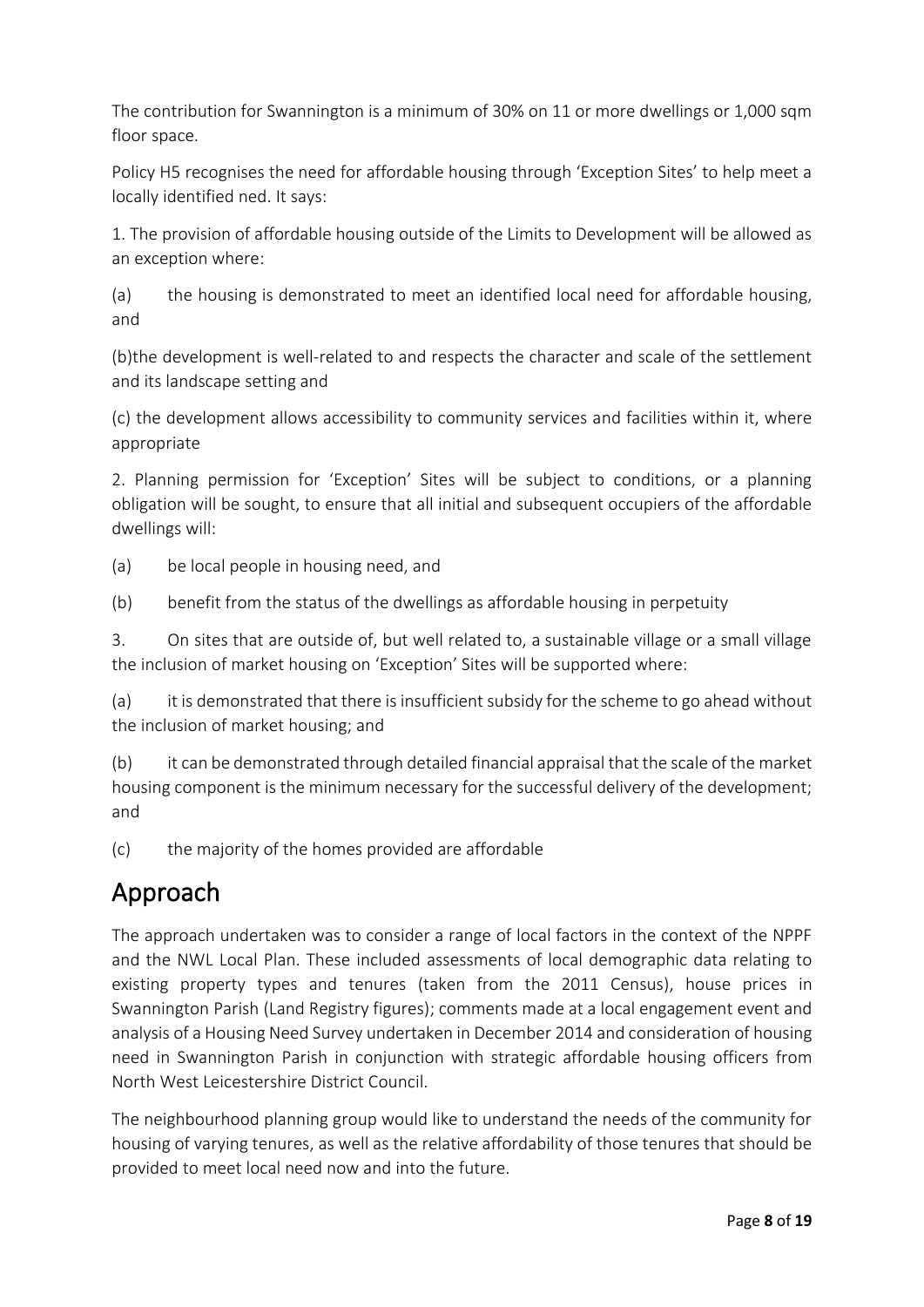The contribution for Swannington is a minimum of 30% on 11 or more dwellings or 1,000 sqm floor space.

Policy H5 recognises the need for affordable housing through 'Exception Sites' to help meet a locally identified ned. It says:

1. The provision of affordable housing outside of the Limits to Development will be allowed as an exception where:

(a) the housing is demonstrated to meet an identified local need for affordable housing, and

(b)the development is well-related to and respects the character and scale of the settlement and its landscape setting and

(c) the development allows accessibility to community services and facilities within it, where appropriate

2. Planning permission for 'Exception' Sites will be subject to conditions, or a planning obligation will be sought, to ensure that all initial and subsequent occupiers of the affordable dwellings will:

(a) be local people in housing need, and

(b) benefit from the status of the dwellings as affordable housing in perpetuity

3. On sites that are outside of, but well related to, a sustainable village or a small village the inclusion of market housing on 'Exception' Sites will be supported where:

(a) it is demonstrated that there is insufficient subsidy for the scheme to go ahead without the inclusion of market housing; and

(b) it can be demonstrated through detailed financial appraisal that the scale of the market housing component is the minimum necessary for the successful delivery of the development; and

(c) the majority of the homes provided are affordable

# Approach

The approach undertaken was to consider a range of local factors in the context of the NPPF and the NWL Local Plan. These included assessments of local demographic data relating to existing property types and tenures (taken from the 2011 Census), house prices in Swannington Parish (Land Registry figures); comments made at a local engagement event and analysis of a Housing Need Survey undertaken in December 2014 and consideration of housing need in Swannington Parish in conjunction with strategic affordable housing officers from North West Leicestershire District Council.

The neighbourhood planning group would like to understand the needs of the community for housing of varying tenures, as well as the relative affordability of those tenures that should be provided to meet local need now and into the future.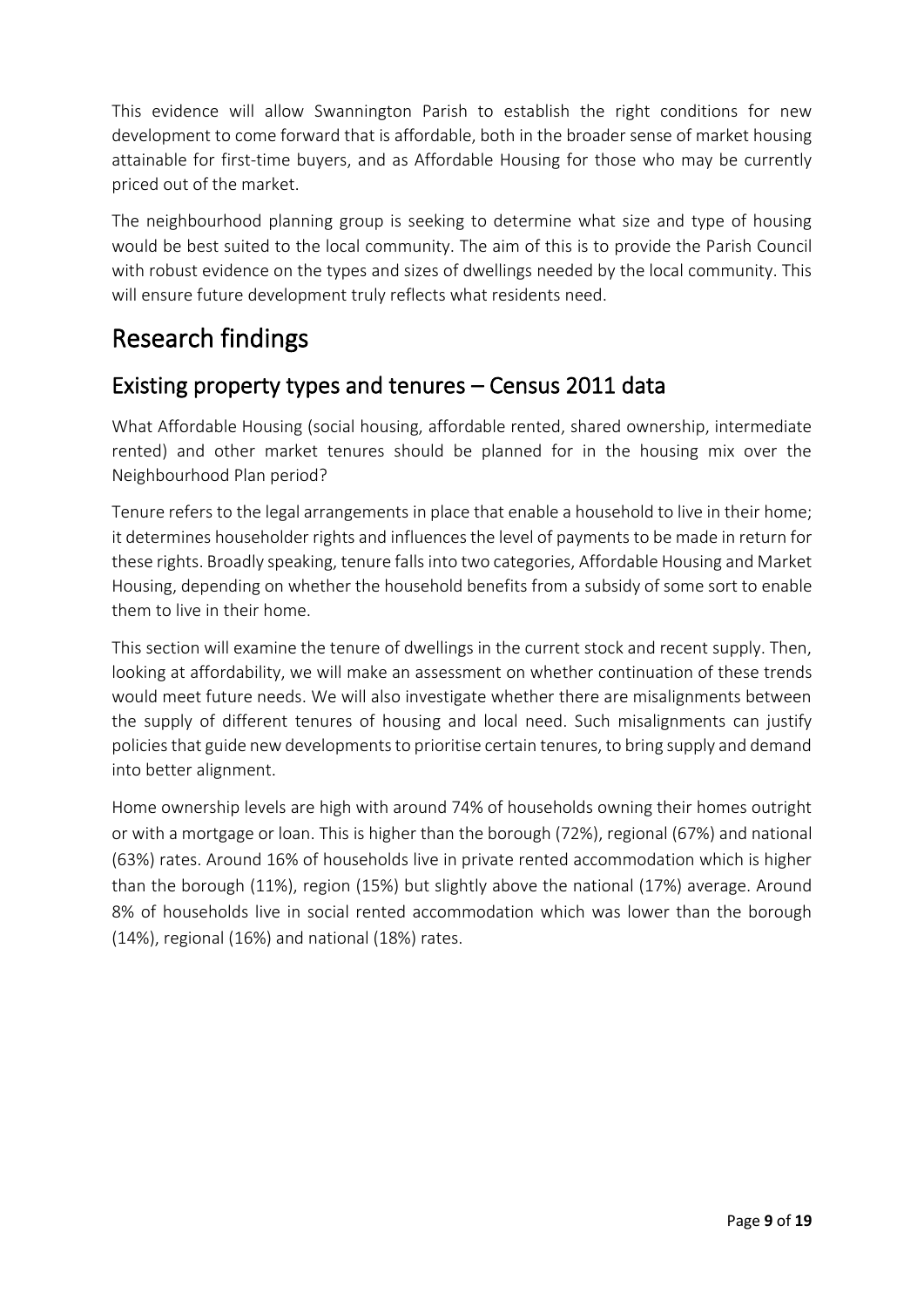This evidence will allow Swannington Parish to establish the right conditions for new development to come forward that is affordable, both in the broader sense of market housing attainable for first-time buyers, and as Affordable Housing for those who may be currently priced out of the market.

The neighbourhood planning group is seeking to determine what size and type of housing would be best suited to the local community. The aim of this is to provide the Parish Council with robust evidence on the types and sizes of dwellings needed by the local community. This will ensure future development truly reflects what residents need.

### Research findings

#### Existing property types and tenures – Census 2011 data

What Affordable Housing (social housing, affordable rented, shared ownership, intermediate rented) and other market tenures should be planned for in the housing mix over the Neighbourhood Plan period?

Tenure refers to the legal arrangements in place that enable a household to live in their home; it determines householder rights and influences the level of payments to be made in return for these rights. Broadly speaking, tenure falls into two categories, Affordable Housing and Market Housing, depending on whether the household benefits from a subsidy of some sort to enable them to live in their home.

This section will examine the tenure of dwellings in the current stock and recent supply. Then, looking at affordability, we will make an assessment on whether continuation of these trends would meet future needs. We will also investigate whether there are misalignments between the supply of different tenures of housing and local need. Such misalignments can justify policies that guide new developments to prioritise certain tenures, to bring supply and demand into better alignment.

Home ownership levels are high with around 74% of households owning their homes outright or with a mortgage or loan. This is higher than the borough (72%), regional (67%) and national (63%) rates. Around 16% of households live in private rented accommodation which is higher than the borough (11%), region (15%) but slightly above the national (17%) average. Around 8% of households live in social rented accommodation which was lower than the borough (14%), regional (16%) and national (18%) rates.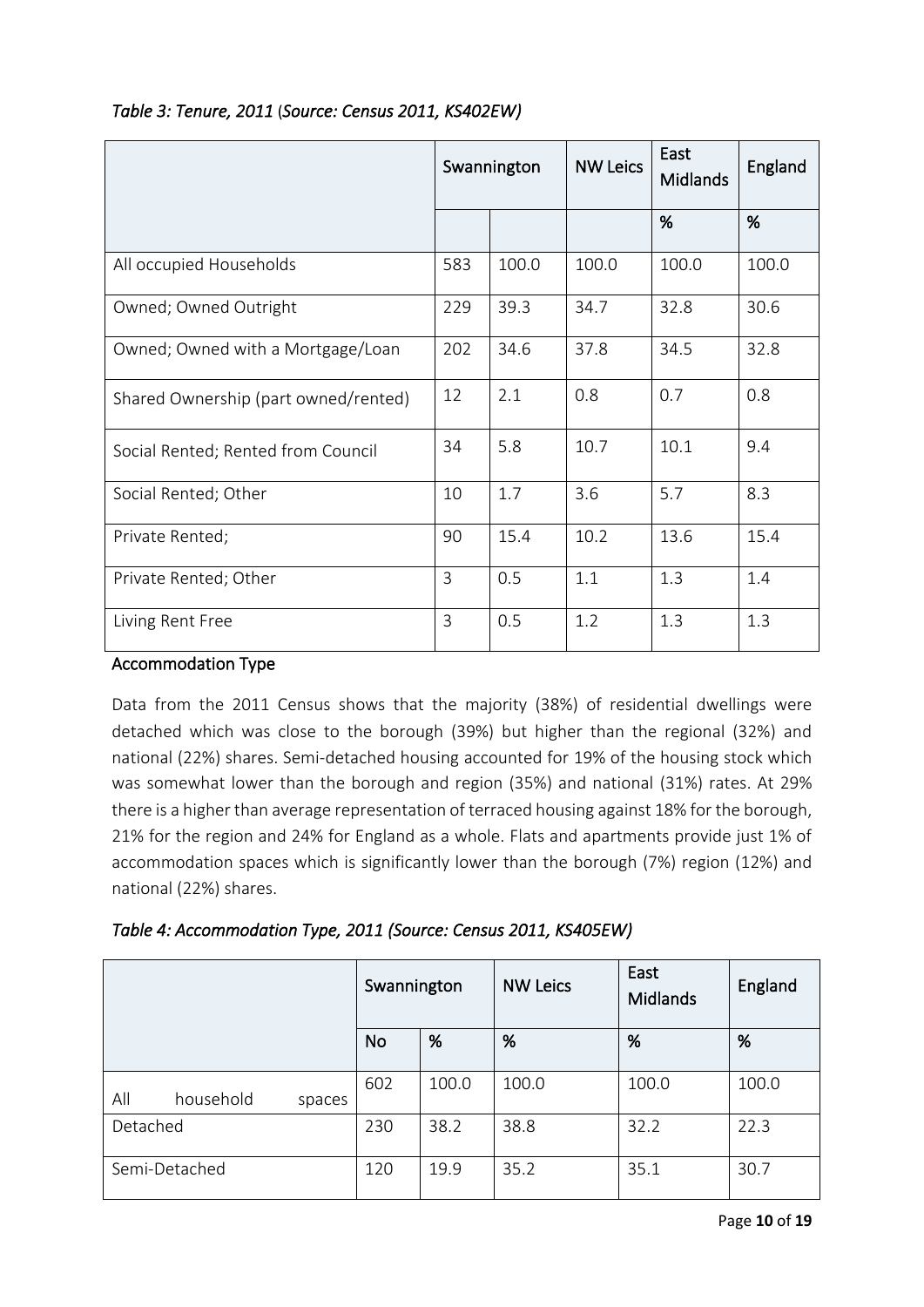|                                      | Swannington |       | <b>NW Leics</b> | East<br><b>Midlands</b> | England |
|--------------------------------------|-------------|-------|-----------------|-------------------------|---------|
|                                      |             |       |                 | %                       | %       |
| All occupied Households              | 583         | 100.0 | 100.0           | 100.0                   | 100.0   |
| Owned; Owned Outright                | 229         | 39.3  | 34.7            | 32.8                    | 30.6    |
| Owned; Owned with a Mortgage/Loan    | 202         | 34.6  | 37.8            | 34.5                    | 32.8    |
| Shared Ownership (part owned/rented) | 12          | 2.1   | 0.8             | 0.7                     | 0.8     |
| Social Rented; Rented from Council   | 34          | 5.8   | 10.7            | 10.1                    | 9.4     |
| Social Rented; Other                 | 10          | 1.7   | 3.6             | 5.7                     | 8.3     |
| Private Rented;                      | 90          | 15.4  | 10.2            | 13.6                    | 15.4    |
| Private Rented; Other                | 3           | 0.5   | 1.1             | 1.3                     | 1.4     |
| Living Rent Free                     | 3           | 0.5   | 1.2             | 1.3                     | 1.3     |

#### *Table 3: Tenure, 2011* (*Source: Census 2011, KS402EW)*

#### Accommodation Type

Data from the 2011 Census shows that the majority (38%) of residential dwellings were detached which was close to the borough (39%) but higher than the regional (32%) and national (22%) shares. Semi-detached housing accounted for 19% of the housing stock which was somewhat lower than the borough and region (35%) and national (31%) rates. At 29% there is a higher than average representation of terraced housing against 18% for the borough, 21% for the region and 24% for England as a whole. Flats and apartments provide just 1% of accommodation spaces which is significantly lower than the borough (7%) region (12%) and national (22%) shares.

| Table 4: Accommodation Type, 2011 (Source: Census 2011, KS405EW) |  |  |  |  |  |  |
|------------------------------------------------------------------|--|--|--|--|--|--|
|------------------------------------------------------------------|--|--|--|--|--|--|

|                            | Swannington |       | <b>NW Leics</b> | East<br><b>Midlands</b> | England |
|----------------------------|-------------|-------|-----------------|-------------------------|---------|
|                            | <b>No</b>   | %     | %               | %                       | %       |
| All<br>household<br>spaces | 602         | 100.0 | 100.0           | 100.0                   | 100.0   |
| Detached                   | 230         | 38.2  | 38.8            | 32.2                    | 22.3    |
| Semi-Detached              | 120         | 19.9  | 35.2            | 35.1                    | 30.7    |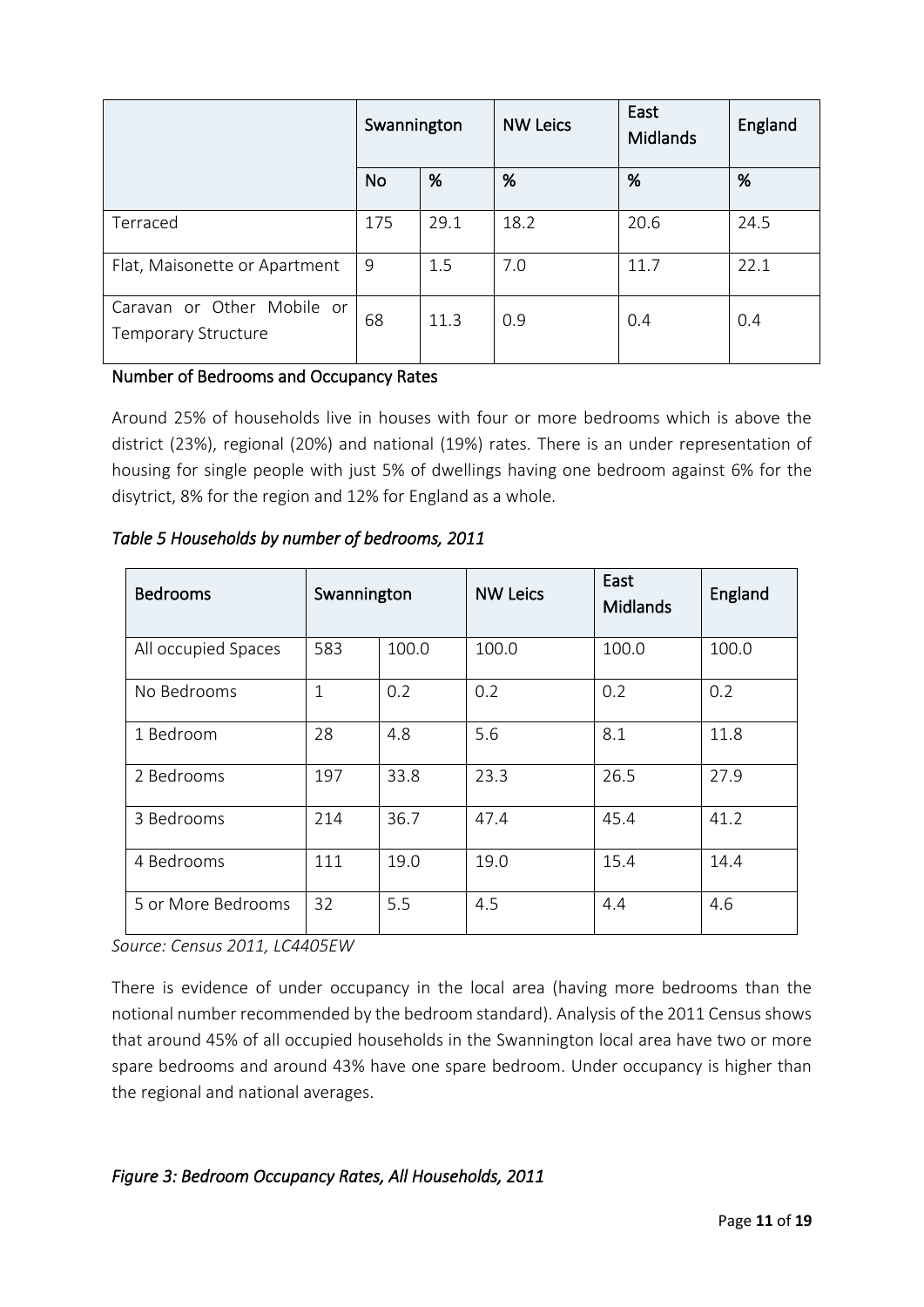|                                                   | Swannington |      | <b>NW Leics</b> | East<br><b>Midlands</b> | England |
|---------------------------------------------------|-------------|------|-----------------|-------------------------|---------|
|                                                   | <b>No</b>   | %    | %               | %                       | %       |
| Terraced                                          | 175         | 29.1 | 18.2            | 20.6                    | 24.5    |
| Flat, Maisonette or Apartment                     | 9           | 1.5  | 7.0             | 11.7                    | 22.1    |
| Caravan or Other Mobile or<br>Temporary Structure | 68          | 11.3 | 0.9             | 0.4                     | 0.4     |

#### Number of Bedrooms and Occupancy Rates

Around 25% of households live in houses with four or more bedrooms which is above the district (23%), regional (20%) and national (19%) rates. There is an under representation of housing for single people with just 5% of dwellings having one bedroom against 6% for the disytrict, 8% for the region and 12% for England as a whole.

| <b>Bedrooms</b>     | Swannington  |       | <b>NW Leics</b> | East<br>Midlands | England |
|---------------------|--------------|-------|-----------------|------------------|---------|
| All occupied Spaces | 583          | 100.0 | 100.0           | 100.0            | 100.0   |
| No Bedrooms         | $\mathbf{1}$ | 0.2   | 0.2             | 0.2              | 0.2     |
| 1 Bedroom           | 28           | 4.8   | 5.6             | 8.1              | 11.8    |
| 2 Bedrooms          | 197          | 33.8  | 23.3            | 26.5             | 27.9    |
| 3 Bedrooms          | 214          | 36.7  | 47.4            | 45.4             | 41.2    |
| 4 Bedrooms          | 111          | 19.0  | 19.0            | 15.4             | 14.4    |
| 5 or More Bedrooms  | 32           | 5.5   | 4.5             | 4.4              | 4.6     |

*Table 5 Households by number of bedrooms, 2011* 

*Source: Census 2011, LC4405EW*

There is evidence of under occupancy in the local area (having more bedrooms than the notional number recommended by the bedroom standard). Analysis of the 2011 Census shows that around 45% of all occupied households in the Swannington local area have two or more spare bedrooms and around 43% have one spare bedroom. Under occupancy is higher than the regional and national averages.

#### *Figure 3: Bedroom Occupancy Rates, All Households, 2011*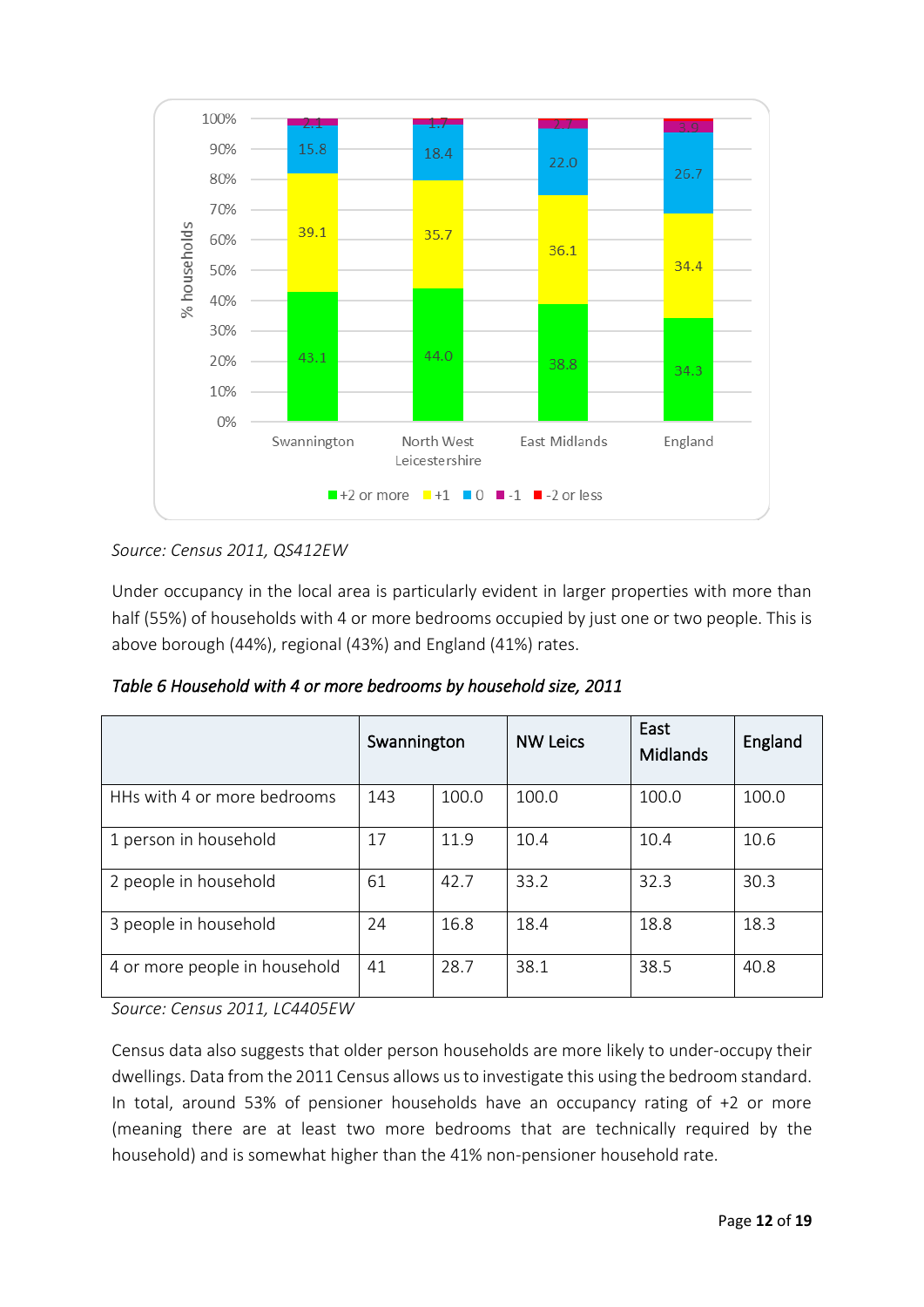

#### *Source: Census 2011, QS412EW*

Under occupancy in the local area is particularly evident in larger properties with more than half (55%) of households with 4 or more bedrooms occupied by just one or two people. This is above borough (44%), regional (43%) and England (41%) rates.

*Table 6 Household with 4 or more bedrooms by household size, 2011* 

|                               | Swannington |       | <b>NW Leics</b> | East<br>Midlands | England |
|-------------------------------|-------------|-------|-----------------|------------------|---------|
| HHs with 4 or more bedrooms   | 143         | 100.0 | 100.0           | 100.0            | 100.0   |
| 1 person in household         | 17          | 11.9  | 10.4            | 10.4             | 10.6    |
| 2 people in household         | 61          | 42.7  | 33.2            | 32.3             | 30.3    |
| 3 people in household         | 24          | 16.8  | 18.4            | 18.8             | 18.3    |
| 4 or more people in household | 41          | 28.7  | 38.1            | 38.5             | 40.8    |

*Source: Census 2011, LC4405EW*

Census data also suggests that older person households are more likely to under-occupy their dwellings. Data from the 2011 Census allows us to investigate this using the bedroom standard. In total, around 53% of pensioner households have an occupancy rating of +2 or more (meaning there are at least two more bedrooms that are technically required by the household) and is somewhat higher than the 41% non-pensioner household rate.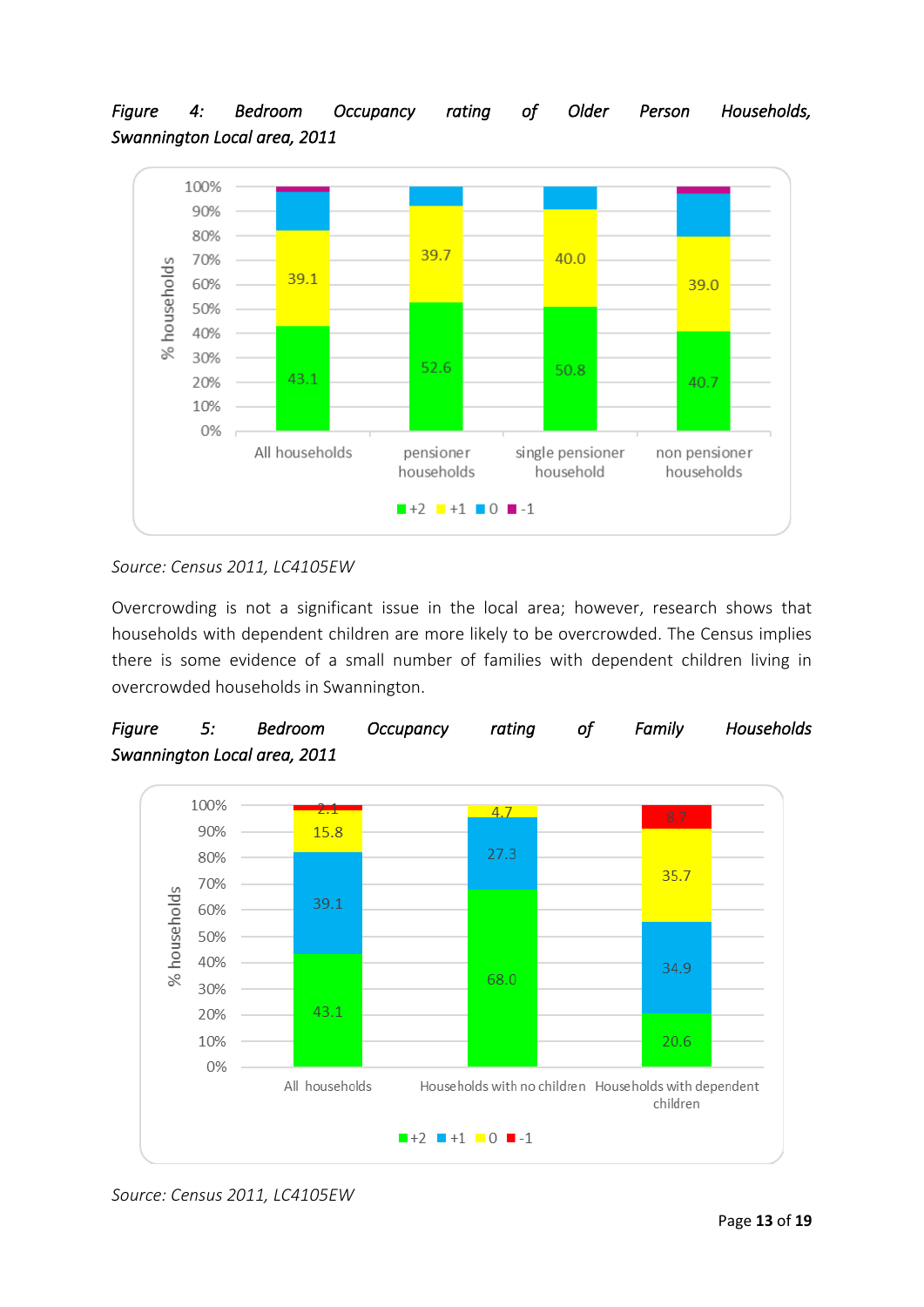*Figure 4: Bedroom Occupancy rating of Older Person Households, Swannington Local area, 2011* 



#### *Source: Census 2011, LC4105EW*

Overcrowding is not a significant issue in the local area; however, research shows that households with dependent children are more likely to be overcrowded. The Census implies there is some evidence of a small number of families with dependent children living in overcrowded households in Swannington.





*Source: Census 2011, LC4105EW*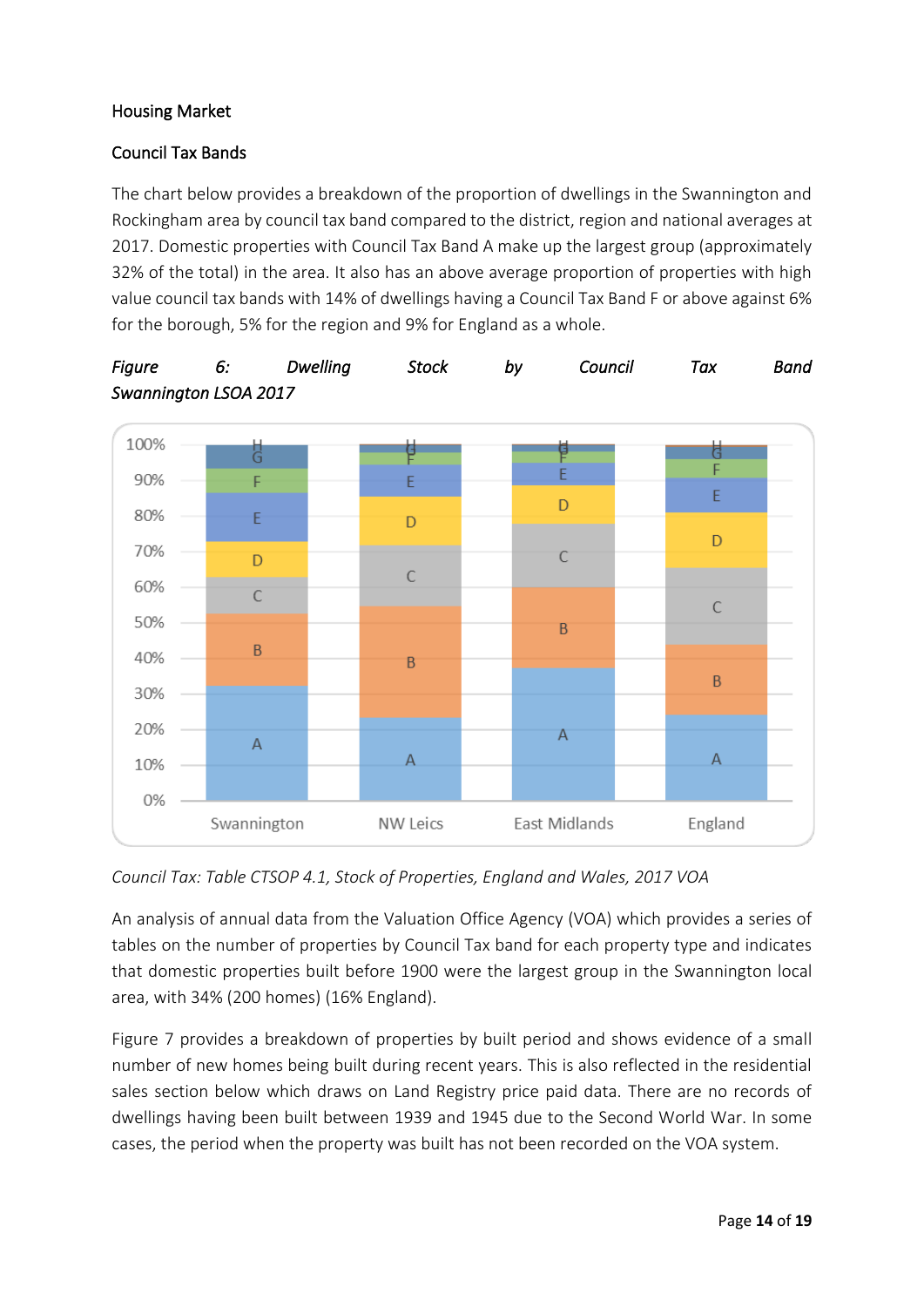#### Housing Market

#### Council Tax Bands

The chart below provides a breakdown of the proportion of dwellings in the Swannington and Rockingham area by council tax band compared to the district, region and national averages at 2017. Domestic properties with Council Tax Band A make up the largest group (approximately 32% of the total) in the area. It also has an above average proportion of properties with high value council tax bands with 14% of dwellings having a Council Tax Band F or above against 6% for the borough, 5% for the region and 9% for England as a whole.



*Figure 6: Dwelling Stock by Council Tax Band Swannington LSOA 2017* 

*Council Tax: Table CTSOP 4.1, Stock of Properties, England and Wales, 2017 VOA*

An analysis of annual data from the Valuation Office Agency (VOA) which provides a series of tables on the number of properties by Council Tax band for each property type and indicates that domestic properties built before 1900 were the largest group in the Swannington local area, with 34% (200 homes) (16% England).

[Figure 7](#page-15-0) provides a breakdown of properties by built period and shows evidence of a small number of new homes being built during recent years. This is also reflected in the residential sales section below which draws on Land Registry price paid data. There are no records of dwellings having been built between 1939 and 1945 due to the Second World War. In some cases, the period when the property was built has not been recorded on the VOA system.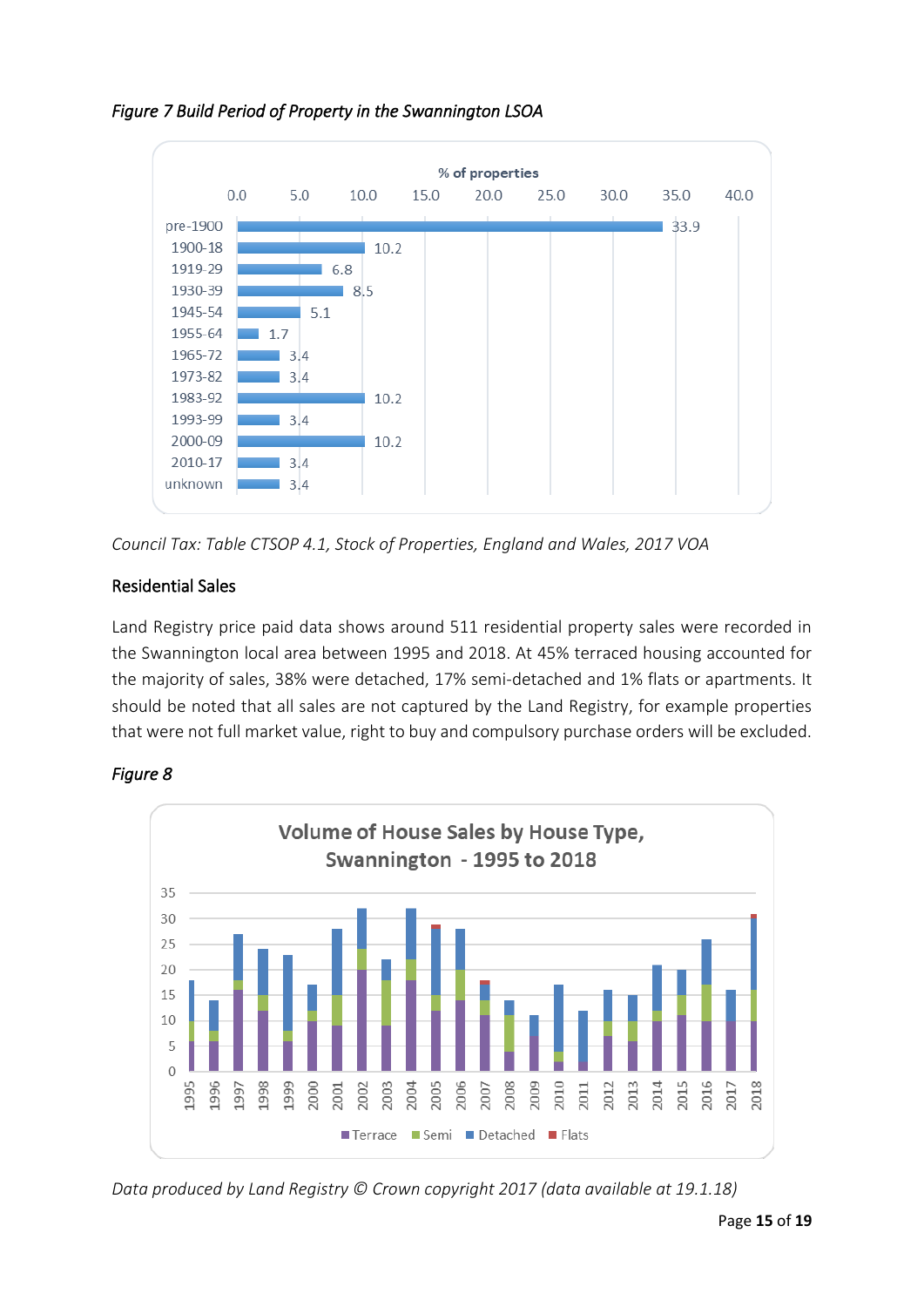

#### <span id="page-15-0"></span>*Figure 7 Build Period of Property in the Swannington LSOA*



#### Residential Sales

Land Registry price paid data shows around 511 residential property sales were recorded in the Swannington local area between 1995 and 2018. At 45% terraced housing accounted for the majority of sales, 38% were detached, 17% semi-detached and 1% flats or apartments. It should be noted that all sales are not captured by the Land Registry, for example properties that were not full market value, right to buy and compulsory purchase orders will be excluded.



#### *Figure 8*

*Data produced by Land Registry © Crown copyright 2017 (data available at 19.1.18)*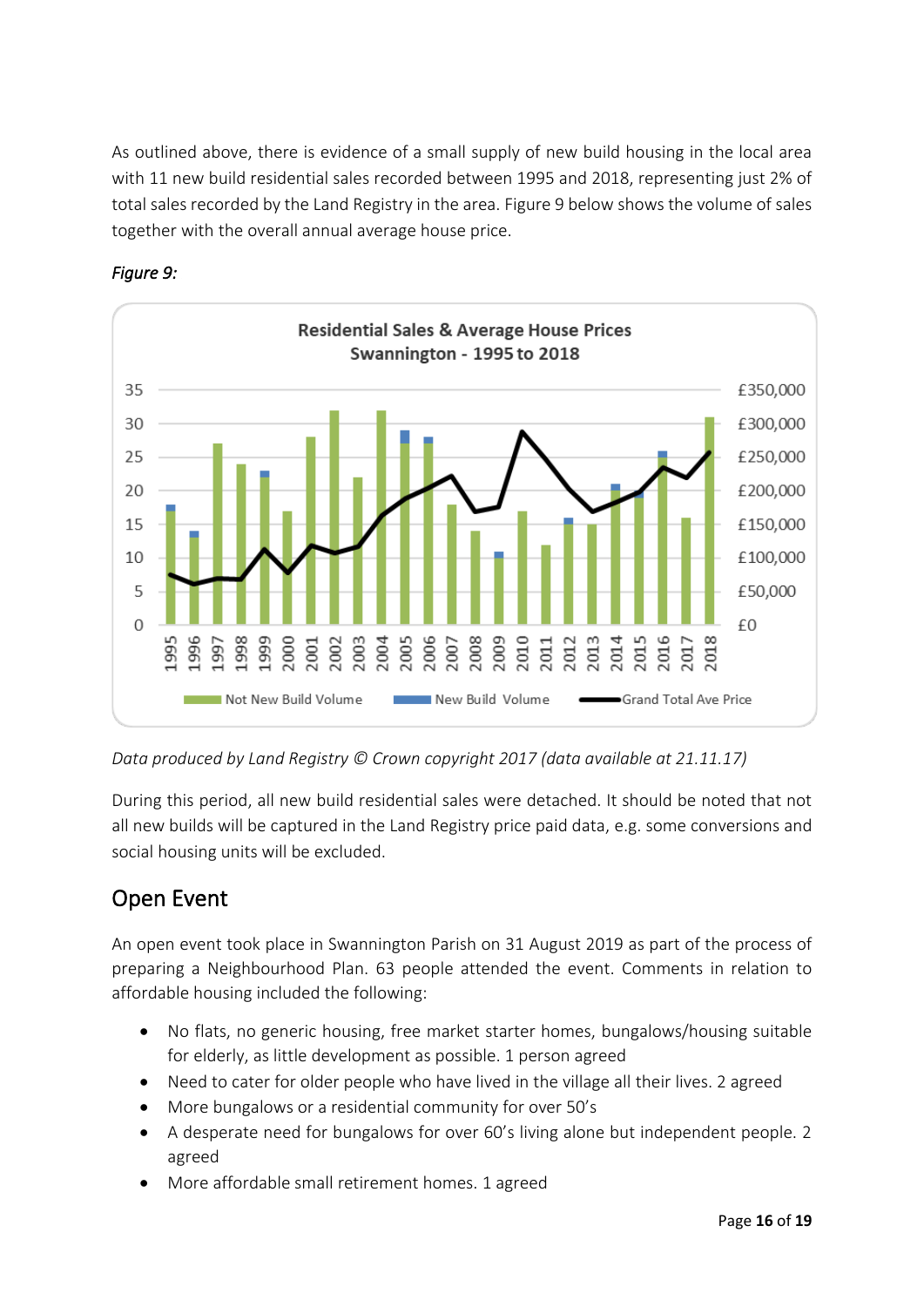As outlined above, there is evidence of a small supply of new build housing in the local area with 11 new build residential sales recorded between 1995 and 2018, representing just 2% of total sales recorded by the Land Registry in the area. Figure 9 below shows the volume of sales together with the overall annual average house price.



#### *Figure 9:*

*Data produced by Land Registry © Crown copyright 2017 (data available at 21.11.17)*

During this period, all new build residential sales were detached. It should be noted that not all new builds will be captured in the Land Registry price paid data, e.g. some conversions and social housing units will be excluded.

### Open Event

An open event took place in Swannington Parish on 31 August 2019 as part of the process of preparing a Neighbourhood Plan. 63 people attended the event. Comments in relation to affordable housing included the following:

- No flats, no generic housing, free market starter homes, bungalows/housing suitable for elderly, as little development as possible. 1 person agreed
- Need to cater for older people who have lived in the village all their lives. 2 agreed
- More bungalows or a residential community for over 50's
- A desperate need for bungalows for over 60's living alone but independent people. 2 agreed
- More affordable small retirement homes. 1 agreed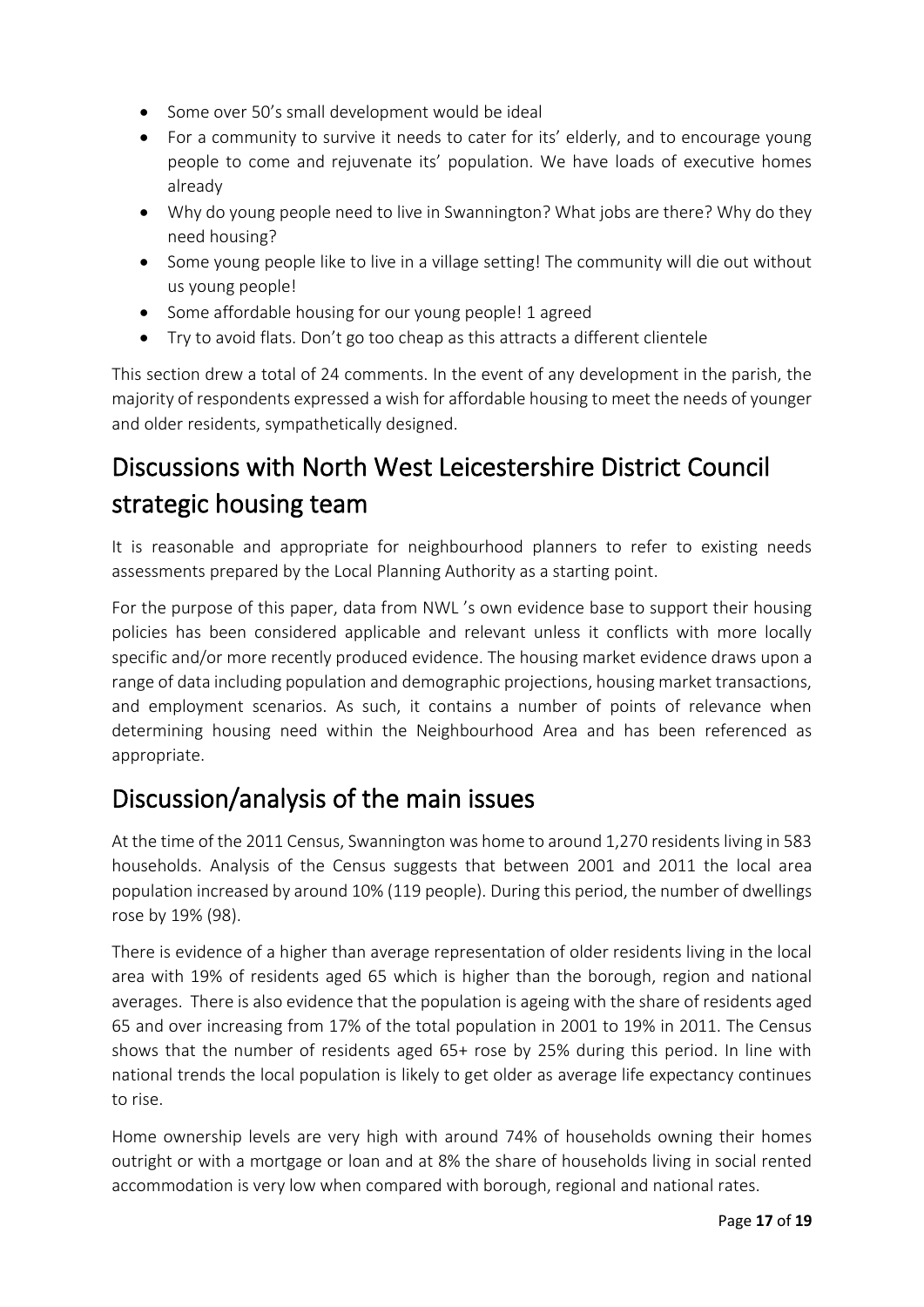- Some over 50's small development would be ideal
- For a community to survive it needs to cater for its' elderly, and to encourage young people to come and rejuvenate its' population. We have loads of executive homes already
- Why do young people need to live in Swannington? What jobs are there? Why do they need housing?
- Some young people like to live in a village setting! The community will die out without us young people!
- Some affordable housing for our young people! 1 agreed
- Try to avoid flats. Don't go too cheap as this attracts a different clientele

This section drew a total of 24 comments. In the event of any development in the parish, the majority of respondents expressed a wish for affordable housing to meet the needs of younger and older residents, sympathetically designed.

# Discussions with North West Leicestershire District Council strategic housing team

It is reasonable and appropriate for neighbourhood planners to refer to existing needs assessments prepared by the Local Planning Authority as a starting point.

For the purpose of this paper, data from NWL 's own evidence base to support their housing policies has been considered applicable and relevant unless it conflicts with more locally specific and/or more recently produced evidence. The housing market evidence draws upon a range of data including population and demographic projections, housing market transactions, and employment scenarios. As such, it contains a number of points of relevance when determining housing need within the Neighbourhood Area and has been referenced as appropriate.

# Discussion/analysis of the main issues

At the time of the 2011 Census, Swannington was home to around 1,270 residents living in 583 households. Analysis of the Census suggests that between 2001 and 2011 the local area population increased by around 10% (119 people). During this period, the number of dwellings rose by 19% (98).

There is evidence of a higher than average representation of older residents living in the local area with 19% of residents aged 65 which is higher than the borough, region and national averages. There is also evidence that the population is ageing with the share of residents aged 65 and over increasing from 17% of the total population in 2001 to 19% in 2011. The Census shows that the number of residents aged 65+ rose by 25% during this period. In line with national trends the local population is likely to get older as average life expectancy continues to rise.

Home ownership levels are very high with around 74% of households owning their homes outright or with a mortgage or loan and at 8% the share of households living in social rented accommodation is very low when compared with borough, regional and national rates.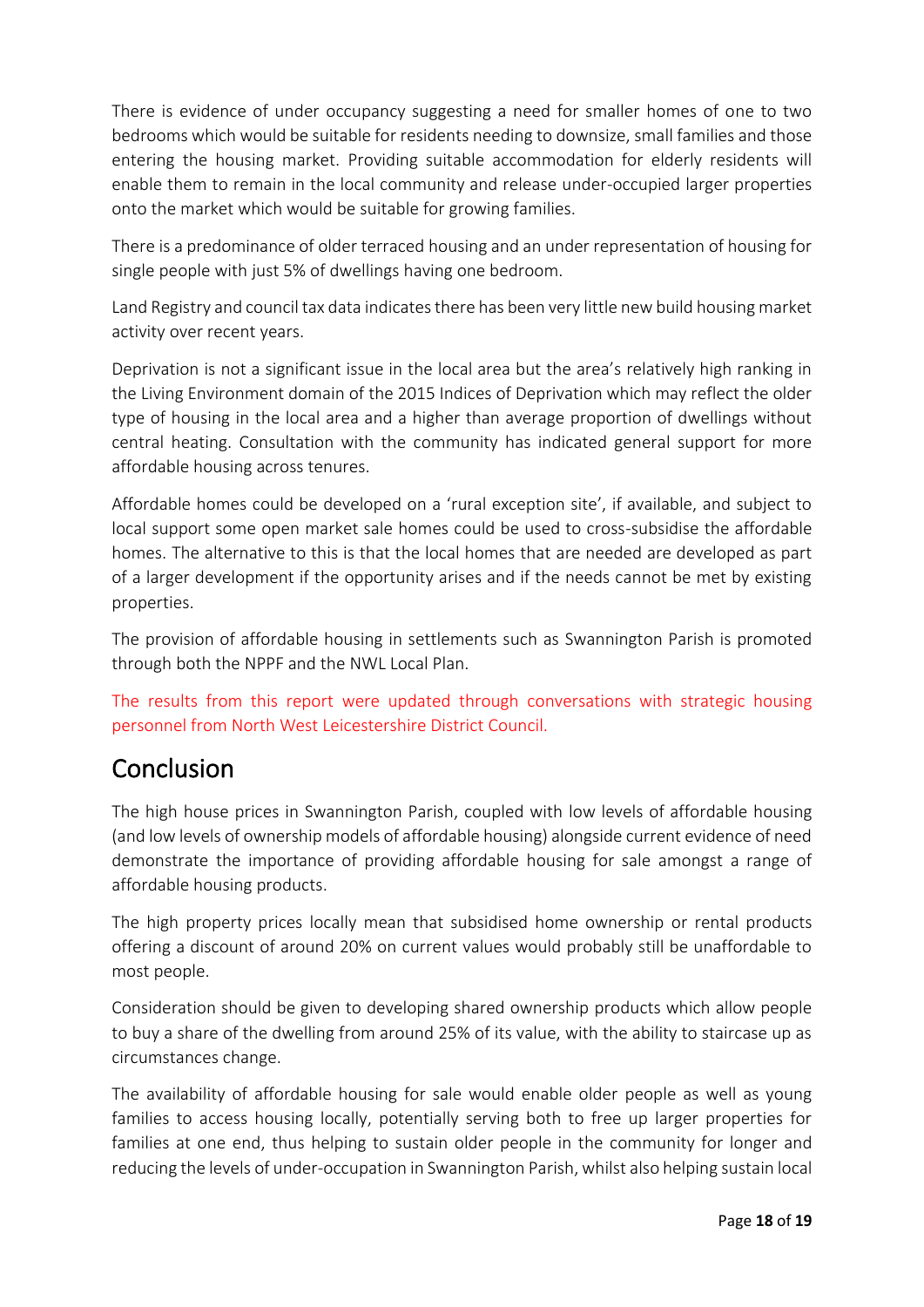There is evidence of under occupancy suggesting a need for smaller homes of one to two bedrooms which would be suitable for residents needing to downsize, small families and those entering the housing market. Providing suitable accommodation for elderly residents will enable them to remain in the local community and release under-occupied larger properties onto the market which would be suitable for growing families.

There is a predominance of older terraced housing and an under representation of housing for single people with just 5% of dwellings having one bedroom.

Land Registry and council tax data indicates there has been very little new build housing market activity over recent years.

Deprivation is not a significant issue in the local area but the area's relatively high ranking in the Living Environment domain of the 2015 Indices of Deprivation which may reflect the older type of housing in the local area and a higher than average proportion of dwellings without central heating. Consultation with the community has indicated general support for more affordable housing across tenures.

Affordable homes could be developed on a 'rural exception site', if available, and subject to local support some open market sale homes could be used to cross-subsidise the affordable homes. The alternative to this is that the local homes that are needed are developed as part of a larger development if the opportunity arises and if the needs cannot be met by existing properties.

The provision of affordable housing in settlements such as Swannington Parish is promoted through both the NPPF and the NWL Local Plan.

The results from this report were updated through conversations with strategic housing personnel from North West Leicestershire District Council.

### Conclusion

The high house prices in Swannington Parish, coupled with low levels of affordable housing (and low levels of ownership models of affordable housing) alongside current evidence of need demonstrate the importance of providing affordable housing for sale amongst a range of affordable housing products.

The high property prices locally mean that subsidised home ownership or rental products offering a discount of around 20% on current values would probably still be unaffordable to most people.

Consideration should be given to developing shared ownership products which allow people to buy a share of the dwelling from around 25% of its value, with the ability to staircase up as circumstances change.

The availability of affordable housing for sale would enable older people as well as young families to access housing locally, potentially serving both to free up larger properties for families at one end, thus helping to sustain older people in the community for longer and reducing the levels of under-occupation in Swannington Parish, whilst also helping sustain local